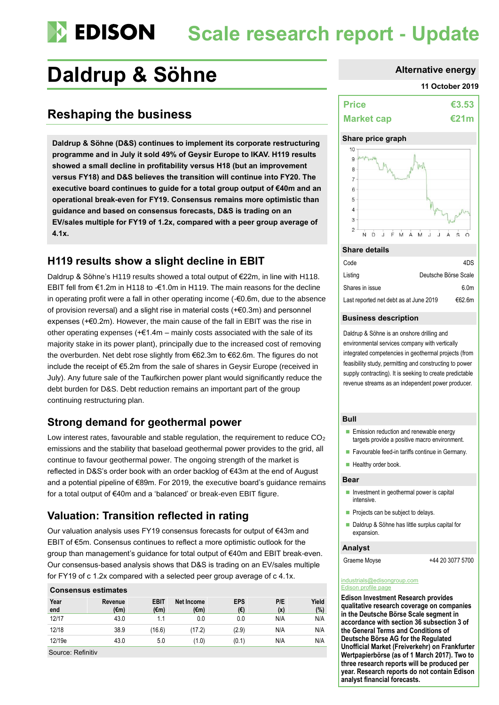# **Scale research report - Update**

# **Daldrup & Söhne Alternative energy**

# **Reshaping the business**

**Daldrup & Söhne (D&S) continues to implement its corporate restructuring programme and in July it sold 49% of Geysir Europe to IKAV. H119 results showed a small decline in profitability versus H18 (but an improvement versus FY18) and D&S believes the transition will continue into FY20. The executive board continues to guide for a total group output of €40m and an operational break-even for FY19. Consensus remains more optimistic than guidance and based on consensus forecasts, D&S is trading on an EV/sales multiple for FY19 of 1.2x, compared with a peer group average of 4.1x.**

## **H119 results show a slight decline in EBIT**

Daldrup & Söhne's H119 results showed a total output of €22m, in line with H118. EBIT fell from €1.2m in H118 to -€1.0m in H119. The main reasons for the decline in operating profit were a fall in other operating income (-€0.6m, due to the absence of provision reversal) and a slight rise in material costs  $(+60.3m)$  and personnel expenses (+€0.2m). However, the main cause of the fall in EBIT was the rise in other operating expenses  $(+\epsilon 1.4m - \text{mainly costs associated with the sale of its})$ majority stake in its power plant), principally due to the increased cost of removing the overburden. Net debt rose slightly from €62.3m to €62.6m. The figures do not include the receipt of €5.2m from the sale of shares in Geysir Europe (received in July). Any future sale of the Taufkirchen power plant would significantly reduce the debt burden for D&S. Debt reduction remains an important part of the group continuing restructuring plan.

# **Strong demand for geothermal power**

Low interest rates, favourable and stable regulation, the requirement to reduce  $CO<sub>2</sub>$ emissions and the stability that baseload geothermal power provides to the grid, all continue to favour geothermal power. The ongoing strength of the market is reflected in D&S's order book with an order backlog of €43m at the end of August and a potential pipeline of €89m. For 2019, the executive board's guidance remains for a total output of €40m and a 'balanced' or break-even EBIT figure.

# **Valuation: Transition reflected in rating**

Our valuation analysis uses FY19 consensus forecasts for output of €43m and EBIT of €5m. Consensus continues to reflect a more optimistic outlook for the group than management's guidance for total output of €40m and EBIT break-even. Our consensus-based analysis shows that D&S is trading on an EV/sales multiple for FY19 of c 1.2x compared with a selected peer group average of c 4.1x.

### **Consensus estimates**

| Year<br>end | Revenue<br>(€m) | <b>EBIT</b><br>(€m) | Net Income<br>$(\epsilon m)$ | <b>EPS</b><br>(€) | P/E<br>(x) | Yield<br>(%) |
|-------------|-----------------|---------------------|------------------------------|-------------------|------------|--------------|
| 12/17       | 43.0            | 1.1                 | 0.0                          | 0.0               | N/A        | N/A          |
| 12/18       | 38.9            | (16.6)              | (17.2)                       | (2.9)             | N/A        | N/A          |
| 12/19e      | 43.0            | 5.0                 | (1.0)                        | (0.1)             | N/A        | N/A          |

Source: Refinitiv

#### **11 October 2019**

| <b>Price</b>      | €3.53 |
|-------------------|-------|
| <b>Market cap</b> | €21m  |

#### **Share price graph**



#### **Share details**

| Code                                   | 4DS                  |
|----------------------------------------|----------------------|
| Listing                                | Deutsche Börse Scale |
| Shares in issue                        | 6.0 <sub>m</sub>     |
| Last reported net debt as at June 2019 | €62.6m               |

#### **Business description**

Daldrup & Söhne is an onshore drilling and environmental services company with vertically integrated competencies in geothermal projects (from feasibility study, permitting and constructing to power supply contracting). It is seeking to create predictable revenue streams as an independent power producer.

#### **Bull**

- Emission reduction and renewable energy targets provide a positive macro environment.
- Favourable feed-in tariffs continue in Germany.
- Healthy order book.

#### **Bear**

- Investment in geothermal power is capital intensive.
- Projects can be subject to delays.
- Daldrup & Söhne has little surplus capital for expansion.

#### **Analyst**

Graeme Moyse  $+44\,20\,3077\,5700$ 

#### [industrials@edisongroup.com](mailto:industrials@edisongroup.com) [Edison profile page](https://www.edisongroup.com/company/daldrup-soehne/2591/)

**Edison Investment Research provides qualitative research coverage on companies in the Deutsche Börse Scale segment in accordance with section 36 subsection 3 of the General Terms and Conditions of Deutsche Börse AG for the Regulated Unofficial Market (Freiverkehr) on Frankfurter Wertpapierbörse (as of 1 March 2017). Two to three research reports will be produced per year. Research reports do not contain Edison analyst financial forecasts.**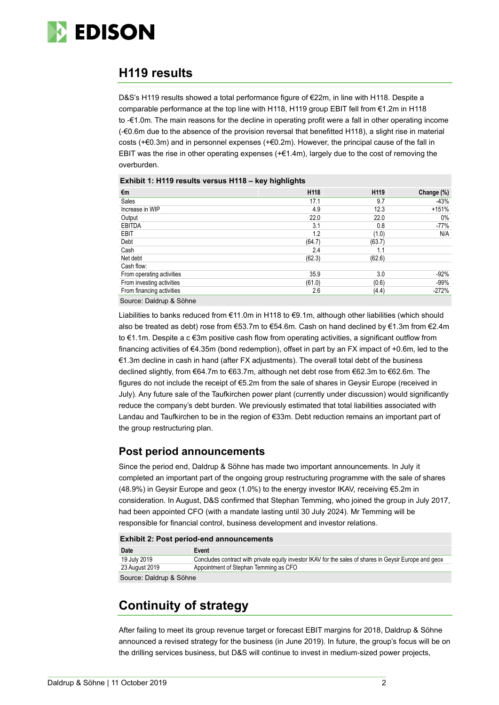

# **H119 results**

D&S's H119 results showed a total performance figure of €22m, in line with H118. Despite a comparable performance at the top line with H118, H119 group EBIT fell from €1.2m in H118 to -€1.0m. The main reasons for the decline in operating profit were a fall in other operating income (-€0.6m due to the absence of the provision reversal that benefitted H118), a slight rise in material costs (+€0.3m) and in personnel expenses (+€0.2m). However, the principal cause of the fall in EBIT was the rise in other operating expenses  $(+£1.4m)$ , largely due to the cost of removing the overburden.

| €m                        | H118   | H119   | Change (%) |  |  |  |
|---------------------------|--------|--------|------------|--|--|--|
| Sales                     | 17.1   | 9.7    | -43%       |  |  |  |
| Increase in WIP           | 4.9    | 12.3   | $+151%$    |  |  |  |
| Output                    | 22.0   | 22.0   | $0\%$      |  |  |  |
| <b>EBITDA</b>             | 3.1    | 0.8    | $-77%$     |  |  |  |
| <b>EBIT</b>               | 1.2    | (1.0)  | N/A        |  |  |  |
| Debt                      | (64.7) | (63.7) |            |  |  |  |
| Cash                      | 2.4    | 1.1    |            |  |  |  |
| Net debt                  | (62.3) | (62.6) |            |  |  |  |
| Cash flow:                |        |        |            |  |  |  |
| From operating activities | 35.9   | 3.0    | $-92%$     |  |  |  |
| From investing activities | (61.0) | (0.6)  | -99%       |  |  |  |
| From financing activities | 2.6    | (4.4)  | $-272%$    |  |  |  |
| Source: Daldrup & Söhne   |        |        |            |  |  |  |

### **Exhibit 1: H119 results versus H118 – key highlights**

Liabilities to banks reduced from €11.0m in H118 to €9.1m, although other liabilities (which should also be treated as debt) rose from €53.7m to €54.6m. Cash on hand declined by €1.3m from €2.4m to €1.1m. Despite a c €3m positive cash flow from operating activities, a significant outflow from financing activities of €4.35m (bond redemption), offset in part by an FX impact of +0.6m, led to the €1.3m decline in cash in hand (after FX adjustments). The overall total debt of the business declined slightly, from €64.7m to €63.7m, although net debt rose from €62.3m to €62.6m. The figures do not include the receipt of €5.2m from the sale of shares in Geysir Europe (received in July). Any future sale of the Taufkirchen power plant (currently under discussion) would significantly reduce the company's debt burden. We previously estimated that total liabilities associated with Landau and Taufkirchen to be in the region of €33m. Debt reduction remains an important part of the group restructuring plan.

### **Post period announcements**

Since the period end, Daldrup & Söhne has made two important announcements. In July it completed an important part of the ongoing group restructuring programme with the sale of shares (48.9%) in Geysir Europe and geox (1.0%) to the energy investor IKAV, receiving €5.2m in consideration. In August, D&S confirmed that Stephan Temming, who joined the group in July 2017, had been appointed CFO (with a mandate lasting until 30 July 2024). Mr Temming will be responsible for financial control, business development and investor relations.

**Exhibit 2: Post period-end announcements**

| <b>Date</b>             | Event                                                                                                  |
|-------------------------|--------------------------------------------------------------------------------------------------------|
| 19 July 2019            | Concludes contract with private equity investor IKAV for the sales of shares in Geysir Europe and geox |
| 23 August 2019          | Appointment of Stephan Temming as CFO                                                                  |
| Source: Daldrup & Söhne |                                                                                                        |

# **Continuity of strategy**

After failing to meet its group revenue target or forecast EBIT margins for 2018, Daldrup & Söhne announced a revised strategy for the business (in June 2019). In future, the group's focus will be on the drilling services business, but D&S will continue to invest in medium-sized power projects,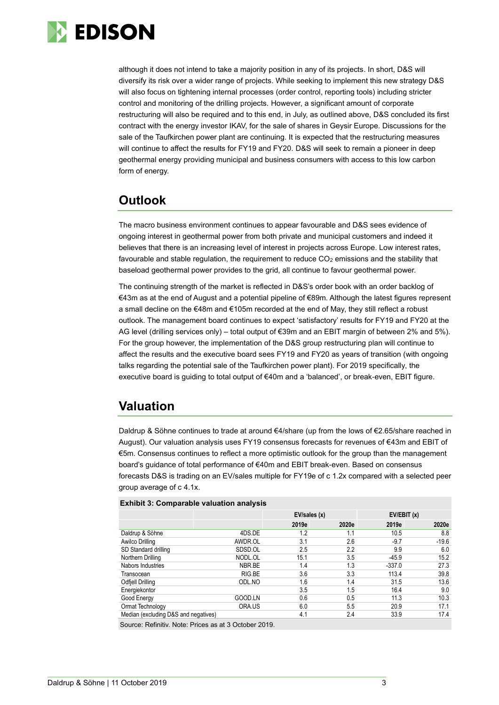

although it does not intend to take a majority position in any of its projects. In short, D&S will diversify its risk over a wider range of projects. While seeking to implement this new strategy D&S will also focus on tightening internal processes (order control, reporting tools) including stricter control and monitoring of the drilling projects. However, a significant amount of corporate restructuring will also be required and to this end, in July, as outlined above, D&S concluded its first contract with the energy investor IKAV, for the sale of shares in Geysir Europe. Discussions for the sale of the Taufkirchen power plant are continuing. It is expected that the restructuring measures will continue to affect the results for FY19 and FY20. D&S will seek to remain a pioneer in deep geothermal energy providing municipal and business consumers with access to this low carbon form of energy.

# **Outlook**

The macro business environment continues to appear favourable and D&S sees evidence of ongoing interest in geothermal power from both private and municipal customers and indeed it believes that there is an increasing level of interest in projects across Europe. Low interest rates, favourable and stable regulation, the requirement to reduce  $CO<sub>2</sub>$  emissions and the stability that baseload geothermal power provides to the grid, all continue to favour geothermal power.

The continuing strength of the market is reflected in D&S's order book with an order backlog of €43m as at the end of August and a potential pipeline of €89m. Although the latest figures represent a small decline on the €48m and €105m recorded at the end of May, they still reflect a robust outlook. The management board continues to expect 'satisfactory' results for FY19 and FY20 at the AG level (drilling services only) – total output of €39m and an EBIT margin of between 2% and 5%). For the group however, the implementation of the D&S group restructuring plan will continue to affect the results and the executive board sees FY19 and FY20 as years of transition (with ongoing talks regarding the potential sale of the Taufkirchen power plant). For 2019 specifically, the executive board is guiding to total output of €40m and a 'balanced', or break-even, EBIT figure.

# **Valuation**

Daldrup & Söhne continues to trade at around €4/share (up from the lows of €2.65/share reached in August). Our valuation analysis uses FY19 consensus forecasts for revenues of €43m and EBIT of €5m. Consensus continues to reflect a more optimistic outlook for the group than the management board's guidance of total performance of €40m and EBIT break-even. Based on consensus forecasts D&S is trading on an EV/sales multiple for FY19e of c 1.2x compared with a selected peer group average of c 4.1x.

#### **Exhibit 3: Comparable valuation analysis**

|                                      |         | EV/sales (x) |       | EV/EBIT(x) |         |
|--------------------------------------|---------|--------------|-------|------------|---------|
|                                      |         | 2019e        | 2020e | 2019e      | 2020e   |
| Daldrup & Söhne                      | 4DS.DE  | 1.2          | 1.1   | 10.5       | 8.8     |
| Awilco Drilling                      | AWDR.OL | 3.1          | 2.6   | $-9.7$     | $-19.6$ |
| SD Standard drilling                 | SDSD.OL | 2.5          | 2.2   | 9.9        | 6.0     |
| Northern Drilling                    | NODL.OL | 15.1         | 3.5   | $-45.9$    | 15.2    |
| Nabors Industries                    | NBR.BE  | 1.4          | 1.3   | $-337.0$   | 27.3    |
| Transocean                           | RIG.BE  | 3.6          | 3.3   | 113.4      | 39.8    |
| Odfiell Drilling                     | ODL.NO  | 1.6          | 1.4   | 31.5       | 13.6    |
| Energiekontor                        |         | 3.5          | 1.5   | 16.4       | 9.0     |
| Good Energy                          | GOOD.LN | 0.6          | 0.5   | 11.3       | 10.3    |
| Ormat Technology                     | ORA.US  | 6.0          | 5.5   | 20.9       | 17.1    |
| Median (excluding D&S and negatives) |         | 4.1          | 2.4   | 33.9       | 17.4    |

Source: Refinitiv. Note: Prices as at 3 October 2019.